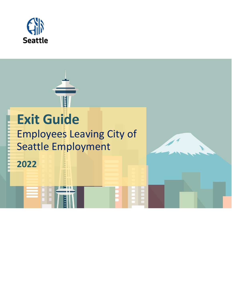

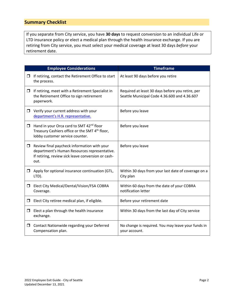## **Summary Checklist**

If you separate from City service, you have **30 days** to request conversion to an individual Life or LTD insurance policy or elect a medical plan through the health insurance exchange. If you are retiring from City service, you must select your medical coverage at least 30 days *before* your retirement date.

|        | <b>Employee Considerations</b>                                                                                                                            | <b>Timeframe</b>                                                                                 |
|--------|-----------------------------------------------------------------------------------------------------------------------------------------------------------|--------------------------------------------------------------------------------------------------|
| σ.     | If retiring, contact the Retirement Office to start<br>the process.                                                                                       | At least 90 days before you retire                                                               |
| $\Box$ | If retiring, meet with a Retirement Specialist in<br>the Retirement Office to sign retirement<br>paperwork.                                               | Required at least 30 days before you retire, per<br>Seattle Municipal Code 4.36.600 and 4.36.607 |
|        | $\Box$ Verify your current address with your<br>department's H.R. representative.                                                                         | Before you leave                                                                                 |
| □      | Hand in your Orca card to SMT 42 <sup>nd</sup> floor<br>Treasury Cashiers office or the SMT 4 <sup>th</sup> floor,<br>lobby customer service counter.     | Before you leave                                                                                 |
| $\Box$ | Review final paycheck information with your<br>department's Human Resources representative.<br>If retiring, review sick leave conversion or cash-<br>out. | Before you leave                                                                                 |
| □      | Apply for optional insurance continuation (GTL,<br>LTD).                                                                                                  | Within 30 days from your last date of coverage on a<br>City plan                                 |
| □      | Elect City Medical/Dental/Vision/FSA COBRA<br>Coverage.                                                                                                   | Within 60 days from the date of your COBRA<br>notification letter                                |
| □      | Elect City retiree medical plan, if eligible.                                                                                                             | Before your retirement date                                                                      |
| □      | Elect a plan through the health insurance<br>exchange.                                                                                                    | Within 30 days from the last day of City service                                                 |
| □      | Contact Nationwide regarding your Deferred<br>Compensation plan.                                                                                          | No change is required. You may leave your funds in<br>your account.                              |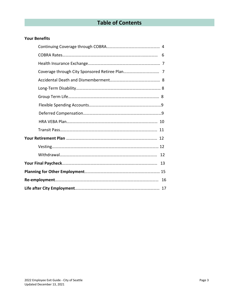## **Table of Contents**

## **Your Benefits**

| 13 |  |  |
|----|--|--|
|    |  |  |
|    |  |  |
|    |  |  |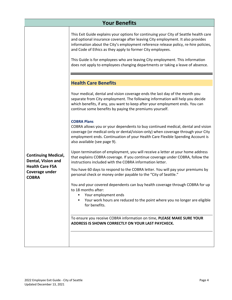|                                                          | <b>Your Benefits</b>                                                                                                                                                                                                                                                                                                                                                                                                                                                                             |
|----------------------------------------------------------|--------------------------------------------------------------------------------------------------------------------------------------------------------------------------------------------------------------------------------------------------------------------------------------------------------------------------------------------------------------------------------------------------------------------------------------------------------------------------------------------------|
|                                                          | This Exit Guide explains your options for continuing your City of Seattle health care<br>and optional insurance coverage after leaving City employment. It also provides<br>information about the City's employment reference release policy, re-hire policies,<br>and Code of Ethics as they apply to former City employees.<br>This Guide is for employees who are leaving City employment. This information<br>does not apply to employees changing departments or taking a leave of absence. |
|                                                          | <b>Health Care Benefits</b>                                                                                                                                                                                                                                                                                                                                                                                                                                                                      |
|                                                          | Your medical, dental and vision coverage ends the last day of the month you<br>separate from City employment. The following information will help you decide<br>which benefits, if any, you want to keep after your employment ends. You can<br>continue some benefits by paying the premiums yourself.                                                                                                                                                                                          |
|                                                          | <b>COBRA Plans</b><br>COBRA allows you or your dependents to buy continued medical, dental and vision<br>coverage (or medical-only or dental/vision-only) when coverage through your City<br>employment ends. Continuation of your Health Care Flexible Spending Account is<br>also available (see page 9).                                                                                                                                                                                      |
| <b>Continuing Medical,</b><br>Dental, Vision and         | Upon termination of employment, you will receive a letter at your home address<br>that explains COBRA coverage. If you continue coverage under COBRA, follow the<br>instructions included with the COBRA information letter.                                                                                                                                                                                                                                                                     |
| <b>Health Care FSA</b><br>Coverage under<br><b>COBRA</b> | You have 60 days to respond to the COBRA letter. You will pay your premiums by<br>personal check or money order payable to the "City of Seattle."                                                                                                                                                                                                                                                                                                                                                |
|                                                          | You and your covered dependents can buy health coverage through COBRA for up<br>to 18 months after:<br>Your employment ends<br>Your work hours are reduced to the point where you no longer are eligible<br>٠<br>for benefits.                                                                                                                                                                                                                                                                   |
|                                                          | To ensure you receive COBRA information on time, PLEASE MAKE SURE YOUR<br>ADDRESS IS SHOWN CORRECTLY ON YOUR LAST PAYCHECK.                                                                                                                                                                                                                                                                                                                                                                      |
|                                                          |                                                                                                                                                                                                                                                                                                                                                                                                                                                                                                  |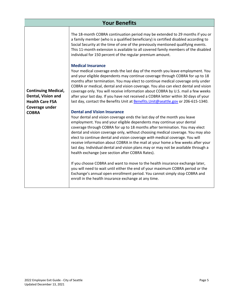| <b>Your Benefits</b>                                                       |                                                                                                                                                                                                                                                                                                                                                                                                                                                                                                                                                                                                                                                                         |  |  |
|----------------------------------------------------------------------------|-------------------------------------------------------------------------------------------------------------------------------------------------------------------------------------------------------------------------------------------------------------------------------------------------------------------------------------------------------------------------------------------------------------------------------------------------------------------------------------------------------------------------------------------------------------------------------------------------------------------------------------------------------------------------|--|--|
|                                                                            | The 18-month COBRA continuation period may be extended to 29 months if you or<br>a family member (who is a qualified beneficiary) is certified disabled according to<br>Social Security at the time of one of the previously mentioned qualifying events.<br>This 11-month extension is available to all covered family members of the disabled<br>individual for 150 percent of the regular premium amount.                                                                                                                                                                                                                                                            |  |  |
| <b>Continuing Medical,</b><br>Dental, Vision and<br><b>Health Care FSA</b> | <b>Medical Insurance</b><br>Your medical coverage ends the last day of the month you leave employment. You<br>and your eligible dependents may continue coverage through COBRA for up to 18<br>months after termination. You may elect to continue medical coverage only under<br>COBRA or medical, dental and vision coverage. You also can elect dental and vision<br>coverage only. You will receive information about COBRA by U.S. mail a few weeks<br>after your last day. If you have not received a COBRA letter within 30 days of your<br>last day, contact the Benefits Unit at Benefits. Unit@seattle.gov or 206-615-1340.                                   |  |  |
| Coverage under<br><b>COBRA</b>                                             | <b>Dental and Vision Insurance</b><br>Your dental and vision coverage ends the last day of the month you leave<br>employment. You and your eligible dependents may continue your dental<br>coverage through COBRA for up to 18 months after termination. You may elect<br>dental and vision coverage only, without choosing medical coverage. You may also<br>elect to continue dental and vision coverage with medical coverage. You will<br>receive information about COBRA in the mail at your home a few weeks after your<br>last day. Individual dental and vision plans may or may not be available through a<br>health exchange (see section after COBRA Rates). |  |  |
|                                                                            | If you choose COBRA and want to move to the health insurance exchange later,<br>you will need to wait until either the end of your maximum COBRA period or the<br>Exchange's annual open enrollment period. You cannot simply stop COBRA and<br>enroll in the health insurance exchange at any time.                                                                                                                                                                                                                                                                                                                                                                    |  |  |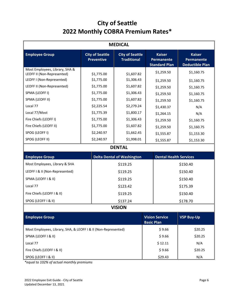## **City of Seattle 2022 Monthly COBRA Premium Rates\***

| <b>MEDICAL</b>                                                 |                                                                                             |                                   |                                                            |                                            |                                                              |
|----------------------------------------------------------------|---------------------------------------------------------------------------------------------|-----------------------------------|------------------------------------------------------------|--------------------------------------------|--------------------------------------------------------------|
| <b>Employee Group</b>                                          | <b>City of Seattle</b><br><b>City of Seattle</b><br><b>Preventive</b><br><b>Traditional</b> |                                   | <b>Kaiser</b><br><b>Permanente</b><br><b>Standard Plan</b> |                                            | <b>Kaiser</b><br><b>Permanente</b><br><b>Deductible Plan</b> |
| Most Employees, Library, SHA &<br>LEOFF II (Non-Represented)   | \$1,775.00                                                                                  |                                   |                                                            | \$1,259.50                                 | \$1,160.75                                                   |
| LEOFF I (Non-Represented)                                      | \$1,775.00                                                                                  | \$1,607.82<br>\$1,306.43          |                                                            | \$1,259.50                                 | \$1,160.75                                                   |
| LEOFF II (Non-Represented)                                     | \$1,775.00                                                                                  | \$1,607.82                        |                                                            | \$1,259.50                                 | \$1,160.75                                                   |
| SPMA (LEOFF I)                                                 | \$1,775.00                                                                                  | \$1,306.43                        |                                                            | \$1,259.50                                 | \$1,160.75                                                   |
| SPMA (LEOFF II)                                                | \$1,775.00                                                                                  | \$1,607.82                        |                                                            | \$1,259.50                                 | \$1,160.75                                                   |
| Local 77                                                       | \$2,225.54                                                                                  | \$2,279.24                        |                                                            | \$1,430.37                                 | N/A                                                          |
| Local 77/Most                                                  | \$1,775.39                                                                                  | \$1,800.17                        |                                                            | \$1,264.15                                 | N/A                                                          |
| Fire Chiefs (LEOFF I)                                          | \$1,775.00                                                                                  | \$1,306.43                        |                                                            | \$1,259.50                                 | \$1,160.75                                                   |
| Fire Chiefs (LEOFF II)                                         | \$1,775.00                                                                                  | \$1,607.82                        |                                                            | \$1,259.50                                 | \$1,160.75                                                   |
| SPOG (LEOFF I)                                                 | \$2,240.97                                                                                  | \$1,662.45                        |                                                            | \$1,555.87                                 | \$1,153.30                                                   |
| SPOG (LEOFF II)                                                | \$2,240.97                                                                                  | \$1,998.01                        | \$1,555.87                                                 |                                            | \$1,153.30                                                   |
|                                                                |                                                                                             | <b>DENTAL</b>                     |                                                            |                                            |                                                              |
| <b>Employee Group</b>                                          |                                                                                             | <b>Delta Dental of Washington</b> |                                                            | <b>Dental Health Services</b>              |                                                              |
| Most Employees, Library & SHA                                  |                                                                                             | \$119.25                          |                                                            | \$150.40                                   |                                                              |
| LEOFF I & II (Non-Represented)                                 |                                                                                             | \$119.25                          |                                                            | \$150.40                                   |                                                              |
| SPMA (LEOFF I & II)                                            |                                                                                             | \$119.25                          |                                                            | \$150.40                                   |                                                              |
| Local 77                                                       |                                                                                             | \$123.42                          |                                                            | \$175.39                                   |                                                              |
| Fire Chiefs (LEOFF I & II)                                     |                                                                                             | \$119.25                          |                                                            | \$150.40                                   |                                                              |
| SPOG (LEOFF I & II)                                            |                                                                                             | \$137.24                          |                                                            | \$178.70                                   |                                                              |
|                                                                |                                                                                             | <b>VISION</b>                     |                                                            |                                            |                                                              |
| <b>Employee Group</b>                                          |                                                                                             |                                   |                                                            | <b>Vision Service</b><br><b>Basic Plan</b> | <b>VSP Buy-Up</b>                                            |
| Most Employees, Library, SHA, & LEOFF I & II (Non-Represented) |                                                                                             |                                   |                                                            | \$9.66                                     | \$20.25                                                      |
| SPMA (LEOFF I & II)                                            |                                                                                             |                                   |                                                            | \$9.66<br>\$20.25                          |                                                              |
| Local 77                                                       |                                                                                             |                                   | \$12.11<br>N/A                                             |                                            |                                                              |
| Fire Chiefs (LEOFF I & II)                                     |                                                                                             |                                   | \$9.66<br>\$20.25                                          |                                            |                                                              |
| SPOG (LEOFF I & II)                                            |                                                                                             |                                   |                                                            | \$29.43<br>N/A                             |                                                              |

*\*equal to 102% of actual monthly premiums*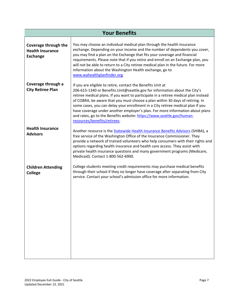|                                                                    | <b>Your Benefits</b>                                                                                                                                                                                                                                                                                                                                                                                                                                                                                                                                                                            |
|--------------------------------------------------------------------|-------------------------------------------------------------------------------------------------------------------------------------------------------------------------------------------------------------------------------------------------------------------------------------------------------------------------------------------------------------------------------------------------------------------------------------------------------------------------------------------------------------------------------------------------------------------------------------------------|
| Coverage through the<br><b>Health Insurance</b><br><b>Exchange</b> | You may choose an individual medical plan through the health insurance<br>exchange. Depending on your income and the number of dependents you cover,<br>you may find a plan on the Exchange that fits your coverage and financial<br>requirements. Please note that if you retire and enroll on an Exchange plan, you<br>will not be able to return to a City retiree medical plan in the future. For more<br>information about the Washington Health exchange, go to<br>www.wahealthplanfinder.org.                                                                                            |
| Coverage through a<br><b>City Retiree Plan</b>                     | If you are eligible to retire, contact the Benefits Unit at<br>206-615-1340 or Benefits. Unit@seattle.gov for information about the City's<br>retiree medical plans. If you want to participate in a retiree medical plan instead<br>of COBRA, be aware that you must choose a plan within 30 days of retiring. In<br>some cases, you can delay your enrollment in a City retiree medical plan if you<br>have coverage under another employer's plan. For more information about plans<br>and rates, go to the Benefits website: https://www.seattle.gov/human-<br>resources/benefits/retirees. |
| <b>Health Insurance</b><br><b>Advisors</b>                         | Another resource is the <b>Statewide Health Insurance Benefits Advisors</b> (SHIBA), a<br>free service of the Washington Office of the Insurance Commissioner. They<br>provide a network of trained volunteers who help consumers with their rights and<br>options regarding health insurance and health care access. They assist with<br>private health insurance questions and many government programs (Medicare,<br>Medicaid). Contact 1-800-562-6900.                                                                                                                                      |
| <b>Children Attending</b><br><b>College</b>                        | College students meeting credit requirements may purchase medical benefits<br>through their school if they no longer have coverage after separating from City<br>service. Contact your school's admission office for more information.                                                                                                                                                                                                                                                                                                                                                          |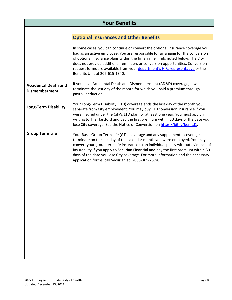|                                                     | <b>Your Benefits</b>                                                                                                                                                                                                                                                                                                                                                                                                                                                         |
|-----------------------------------------------------|------------------------------------------------------------------------------------------------------------------------------------------------------------------------------------------------------------------------------------------------------------------------------------------------------------------------------------------------------------------------------------------------------------------------------------------------------------------------------|
|                                                     |                                                                                                                                                                                                                                                                                                                                                                                                                                                                              |
|                                                     | <b>Optional Insurances and Other Benefits</b>                                                                                                                                                                                                                                                                                                                                                                                                                                |
|                                                     | In some cases, you can continue or convert the optional insurance coverage you<br>had as an active employee. You are responsible for arranging for the conversion<br>of optional insurance plans within the timeframe limits noted below. The City<br>does not provide additional reminders or conversion opportunities. Conversion<br>request forms are available from your department's H.R. representative or the<br>Benefits Unit at 206-615-1340.                       |
| <b>Accidental Death and</b><br><b>Dismemberment</b> | If you have Accidental Death and Dismemberment (AD&D) coverage, it will<br>terminate the last day of the month for which you paid a premium through<br>payroll deduction.                                                                                                                                                                                                                                                                                                    |
| <b>Long-Term Disability</b>                         | Your Long-Term Disability (LTD) coverage ends the last day of the month you<br>separate from City employment. You may buy LTD conversion insurance if you<br>were insured under the City's LTD plan for at least one year. You must apply in<br>writing to The Hartford and pay the first premium within 30 days of the date you<br>lose City coverage. See the Notice of Conversion on https://bit.ly/benltd1.                                                              |
| <b>Group Term Life</b>                              | Your Basic Group Term Life (GTL) coverage and any supplemental coverage<br>terminate on the last day of the calendar month you were employed. You may<br>convert your group term life insurance to an individual policy without evidence of<br>insurability if you apply to Securian Financial and pay the first premium within 30<br>days of the date you lose City coverage. For more information and the necessary<br>application forms, call Securian at 1-866-365-2374. |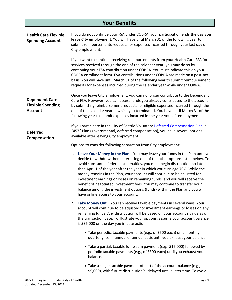| <b>Your Benefits</b>                                                |                                                                                                                                                                                                                                                                                                                                                                                                                                                                                                                                                                                                                                                                                                 |  |  |  |
|---------------------------------------------------------------------|-------------------------------------------------------------------------------------------------------------------------------------------------------------------------------------------------------------------------------------------------------------------------------------------------------------------------------------------------------------------------------------------------------------------------------------------------------------------------------------------------------------------------------------------------------------------------------------------------------------------------------------------------------------------------------------------------|--|--|--|
| <b>Health Care Flexible</b><br><b>Spending Account</b>              | If you do not continue your FSA under COBRA, your participation ends the day you<br>leave City employment. You will have until March 31 of the following year to<br>submit reimbursements requests for expenses incurred through your last day of<br>City employment.                                                                                                                                                                                                                                                                                                                                                                                                                           |  |  |  |
|                                                                     | If you want to continue receiving reimbursements from your Health Care FSA for<br>services received through the end of the calendar year, you may do so by<br>continuing your FSA contribution under COBRA. You must indicate this on your<br>COBRA enrollment form. FSA contributions under COBRA are made on a post-tax<br>basis. You will have until March 31 of the following year to submit reimbursement<br>requests for expenses incurred during the calendar year while under COBRA.                                                                                                                                                                                                    |  |  |  |
| <b>Dependent Care</b><br><b>Flexible Spending</b><br><b>Account</b> | Once you leave City employment, you can no longer contribute to the Dependent<br>Care FSA. However, you can access funds you already contributed to the account<br>by submitting reimbursement requests for eligible expenses incurred through the<br>end of the calendar year in which you terminated. You have until March 31 of the<br>following year to submit expenses incurred in the year you left employment.                                                                                                                                                                                                                                                                           |  |  |  |
| <b>Deferred</b><br>Compensation                                     | If you participate in the City of Seattle Voluntary Deferred Compensation Plan, a<br>"457" Plan (governmental, deferred compensation), you have several options<br>available after leaving City employment.                                                                                                                                                                                                                                                                                                                                                                                                                                                                                     |  |  |  |
|                                                                     | Options to consider following separation from City employment:                                                                                                                                                                                                                                                                                                                                                                                                                                                                                                                                                                                                                                  |  |  |  |
|                                                                     | Leave Your Money in the Plan - You may leave your funds in the Plan until you<br>1.<br>decide to withdraw them later using one of the other options listed below. To<br>avoid substantial federal tax penalties, you must begin distribution no later<br>than April 1 of the year after the year in which you turn age 70%. While the<br>money remains in the Plan, your account will continue to be adjusted for<br>investment earnings or losses on remaining funds, and you will receive the<br>benefit of negotiated investment fees. You may continue to transfer your<br>balance among the investment options (funds) within the Plan and you will<br>have online access to your account. |  |  |  |
|                                                                     | Take Money Out - You can receive taxable payments in several ways. Your<br>2.<br>account will continue to be adjusted for investment earnings or losses on any<br>remaining funds. Any distribution will be based on your account's value as of<br>the transaction date. To illustrate your options, assume your account balance<br>is \$36,000 on the day you initiate action.                                                                                                                                                                                                                                                                                                                 |  |  |  |
|                                                                     | • Take periodic, taxable payments (e.g., of \$500 each) on a monthly,<br>quarterly, semi-annual or annual basis until you exhaust your balance.                                                                                                                                                                                                                                                                                                                                                                                                                                                                                                                                                 |  |  |  |
|                                                                     | • Take a partial, taxable lump sum payment (e.g., \$15,000) followed by<br>periodic taxable payments (e.g., of \$300 each) until you exhaust your<br>balance.                                                                                                                                                                                                                                                                                                                                                                                                                                                                                                                                   |  |  |  |
|                                                                     | • Take a single taxable payment of part of the account balance (e.g.,<br>\$5,000), with future distribution(s) delayed until a later time. To avoid                                                                                                                                                                                                                                                                                                                                                                                                                                                                                                                                             |  |  |  |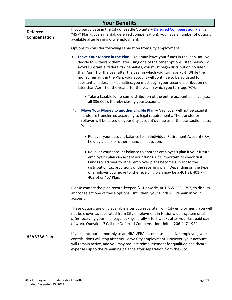|                                 | <b>Your Benefits</b>                                                                                                                                                                                                                                                                                                                                                                                                                                                                                                                                                           |  |  |
|---------------------------------|--------------------------------------------------------------------------------------------------------------------------------------------------------------------------------------------------------------------------------------------------------------------------------------------------------------------------------------------------------------------------------------------------------------------------------------------------------------------------------------------------------------------------------------------------------------------------------|--|--|
| <b>Deferred</b><br>Compensation | If you participate in the City of Seattle Voluntary Deferred Compensation Plan, a<br>"457" Plan (governmental, deferred compensation), you have a number of options<br>available after leaving City employment.                                                                                                                                                                                                                                                                                                                                                                |  |  |
|                                 | Options to consider following separation from City employment:                                                                                                                                                                                                                                                                                                                                                                                                                                                                                                                 |  |  |
|                                 | Leave Your Money in the Plan - You may leave your funds in the Plan until you<br>3.<br>decide to withdraw them later using one of the other options listed below. To<br>avoid substantial federal tax penalties, you must begin distribution no later<br>than April 1 of the year after the year in which you turn age 70%. While the<br>money remains in the Plan, your account will continue to be adjusted for<br>substantial federal tax penalties, you must begin your second distribution no<br>later than April 1 of the year after the year in which you turn age 70%. |  |  |
|                                 | • Take a taxable lump-sum distribution of the entire account balance (i.e.,<br>all \$36,000), thereby closing your account.                                                                                                                                                                                                                                                                                                                                                                                                                                                    |  |  |
|                                 | Move Your Money to another Eligible Plan - A rollover will not be taxed if<br>4.<br>funds are transferred according to legal requirements. The transfer or<br>rollover will be based on your City account's value as of the transaction date.<br>You can:                                                                                                                                                                                                                                                                                                                      |  |  |
|                                 | • Rollover your account balance to an Individual Retirement Account (IRA)<br>held by a bank or other financial institution.                                                                                                                                                                                                                                                                                                                                                                                                                                                    |  |  |
|                                 | • Rollover your account balance to another employer's plan if your future<br>employer's plan can accept your funds. (It's important to check first.)<br>Funds rolled over to other employer plans become subject to the<br>distribution tax provisions of the receiving plan. Depending on the type<br>of employer you move to, the receiving plan may be a 401(a), 401(k),<br>403(b) or 457 Plan.                                                                                                                                                                             |  |  |
|                                 | Please contact the plan record-keeper, Nationwide, at 1-855-550-1757, to discuss<br>and/or select one of these options. Until then, your funds will remain in your<br>account.                                                                                                                                                                                                                                                                                                                                                                                                 |  |  |
|                                 | These options are only available after you separate from City employment. You will<br>not be shown as separated from City employment in Nationwide's system until<br>after receiving your final paycheck, generally 4 to 6 weeks after your last paid day<br>of work. Questions? Call the Deferred Compensation Unit at 206-447-1924.                                                                                                                                                                                                                                          |  |  |
| <b>HRA VEBA Plan</b>            | If you contributed monthly to an HRA VEBA account as an active employee, your<br>contributions will stop after you leave City employment. However, your account<br>will remain active, and you may request reimbursement for qualified healthcare<br>expenses up to the remaining balance after separation from the City.                                                                                                                                                                                                                                                      |  |  |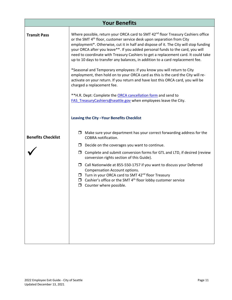| <b>Your Benefits</b>      |                                                                                                                                                                                                                                                                                                                                                                                                                                                                                                                                                                                                                                                                                                                                                                                                                                                                                                                                                                                                       |  |  |  |
|---------------------------|-------------------------------------------------------------------------------------------------------------------------------------------------------------------------------------------------------------------------------------------------------------------------------------------------------------------------------------------------------------------------------------------------------------------------------------------------------------------------------------------------------------------------------------------------------------------------------------------------------------------------------------------------------------------------------------------------------------------------------------------------------------------------------------------------------------------------------------------------------------------------------------------------------------------------------------------------------------------------------------------------------|--|--|--|
| <b>Transit Pass</b>       | Where possible, return your ORCA card to SMT 42 <sup>nd</sup> floor Treasury Cashiers office<br>or the SMT 4 <sup>th</sup> floor, customer service desk upon separation from City<br>employment*. Otherwise, cut it in half and dispose of it. The City will stop funding<br>your ORCA after you leave**. If you added personal funds to the card, you will<br>need to coordinate with Treasury Cashiers to get a replacement card. It could take<br>up to 10 days to transfer any balances, in addition to a card replacement fee.<br>*Seasonal and Temporary employees: if you know you will return to City<br>employment, then hold on to your ORCA card as this is the card the City will re-<br>activate on your return. If you return and have lost this ORCA card, you will be<br>charged a replacement fee.<br>** H.R. Dept: Complete the ORCA cancellation form and send to<br>FAS Treasury Cashiers @seattle.gov when employees leave the City.<br>Leaving the City-Your Benefits Checklist |  |  |  |
|                           |                                                                                                                                                                                                                                                                                                                                                                                                                                                                                                                                                                                                                                                                                                                                                                                                                                                                                                                                                                                                       |  |  |  |
| <b>Benefits Checklist</b> | $\Box$ Make sure your department has your correct forwarding address for the<br>COBRA notification.                                                                                                                                                                                                                                                                                                                                                                                                                                                                                                                                                                                                                                                                                                                                                                                                                                                                                                   |  |  |  |
|                           | $\Box$ Decide on the coverages you want to continue.                                                                                                                                                                                                                                                                                                                                                                                                                                                                                                                                                                                                                                                                                                                                                                                                                                                                                                                                                  |  |  |  |
|                           | Complete and submit conversion forms for GTL and LTD, if desired (review<br>$\Box$<br>conversion rights section of this Guide).                                                                                                                                                                                                                                                                                                                                                                                                                                                                                                                                                                                                                                                                                                                                                                                                                                                                       |  |  |  |
|                           | $\Box$ Call Nationwide at 855-550-1757 if you want to discuss your Deferred<br><b>Compensation Account options.</b><br>□ Turn in your ORCA card to SMT 42 <sup>nd</sup> floor Treasury<br>$\Box$ Cashier's office or the SMT 4 <sup>th</sup> floor lobby customer service<br>$\Box$ Counter where possible.                                                                                                                                                                                                                                                                                                                                                                                                                                                                                                                                                                                                                                                                                           |  |  |  |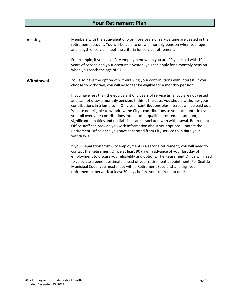|                | <b>Your Retirement Plan</b>                                                                                                                                                                                                                                                                                                                                                                                                                                                                                                                                                                                                                                                                                                                                                                                                                                                                                                                                                                                                                                   |
|----------------|---------------------------------------------------------------------------------------------------------------------------------------------------------------------------------------------------------------------------------------------------------------------------------------------------------------------------------------------------------------------------------------------------------------------------------------------------------------------------------------------------------------------------------------------------------------------------------------------------------------------------------------------------------------------------------------------------------------------------------------------------------------------------------------------------------------------------------------------------------------------------------------------------------------------------------------------------------------------------------------------------------------------------------------------------------------|
|                |                                                                                                                                                                                                                                                                                                                                                                                                                                                                                                                                                                                                                                                                                                                                                                                                                                                                                                                                                                                                                                                               |
| <b>Vesting</b> | Members with the equivalent of 5 or more years of service time are vested in their<br>retirement account. You will be able to draw a monthly pension when your age<br>and length of service meet the criteria for service retirement.                                                                                                                                                                                                                                                                                                                                                                                                                                                                                                                                                                                                                                                                                                                                                                                                                         |
|                | For example, if you leave City employment when you are 40 years old with 10<br>years of service and your account is vested, you can apply for a monthly pension<br>when you reach the age of 57.                                                                                                                                                                                                                                                                                                                                                                                                                                                                                                                                                                                                                                                                                                                                                                                                                                                              |
| Withdrawal     | You also have the option of withdrawing your contributions with interest. If you<br>choose to withdraw, you will no longer be eligible for a monthly pension.                                                                                                                                                                                                                                                                                                                                                                                                                                                                                                                                                                                                                                                                                                                                                                                                                                                                                                 |
|                | If you have less than the equivalent of 5 years of service time, you are not vested<br>and cannot draw a monthly pension. If this is the case, you should withdraw your<br>contributions in a lump sum. Only your contributions plus interest will be paid out.<br>You are not eligible to withdraw the City's contributions to your account. Unless<br>you roll over your contributions into another qualified retirement account,<br>significant penalties and tax liabilities are associated with withdrawal. Retirement<br>Office staff can provide you with information about your options. Contact the<br>Retirement Office once you have separated from City service to initiate your<br>withdrawal.<br>If your separation from City employment is a service retirement, you will need to<br>contact the Retirement Office at least 90 days in advance of your last day of<br>employment to discuss your eligibility and options. The Retirement Office will need<br>to calculate a benefit estimate ahead of your retirement appointment. Per Seattle |
|                | Municipal Code, you must meet with a Retirement Specialist and sign your<br>retirement paperwork at least 30 days before your retirement date.                                                                                                                                                                                                                                                                                                                                                                                                                                                                                                                                                                                                                                                                                                                                                                                                                                                                                                                |
|                |                                                                                                                                                                                                                                                                                                                                                                                                                                                                                                                                                                                                                                                                                                                                                                                                                                                                                                                                                                                                                                                               |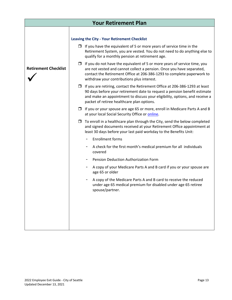|                             | <b>Your Retirement Plan</b>                                                                                                                                                                                                                                                                  |
|-----------------------------|----------------------------------------------------------------------------------------------------------------------------------------------------------------------------------------------------------------------------------------------------------------------------------------------|
|                             |                                                                                                                                                                                                                                                                                              |
|                             | <b>Leaving the City - Your Retirement Checklist</b>                                                                                                                                                                                                                                          |
|                             | $\Box$ If you have the equivalent of 5 or more years of service time in the<br>Retirement System, you are vested. You do not need to do anything else to<br>qualify for a monthly pension at retirement age.                                                                                 |
| <b>Retirement Checklist</b> | $\Box$ If you do not have the equivalent of 5 or more years of service time, you<br>are not vested and cannot collect a pension. Once you have separated,<br>contact the Retirement Office at 206-386-1293 to complete paperwork to<br>withdraw your contributions plus interest.            |
|                             | $\Box$ If you are retiring, contact the Retirement Office at 206-386-1293 at least<br>90 days before your retirement date to request a pension benefit estimate<br>and make an appointment to discuss your eligibility, options, and receive a<br>packet of retiree healthcare plan options. |
|                             | $\Box$ If you or your spouse are age 65 or more, enroll in Medicare Parts A and B<br>at your local Social Security Office or online.                                                                                                                                                         |
|                             | $\Box$ To enroll in a healthcare plan through the City, send the below completed<br>and signed documents received at your Retirement Office appointment at<br>least 30 days before your last paid workday to the Benefits Unit:                                                              |
|                             | <b>Enrollment forms</b>                                                                                                                                                                                                                                                                      |
|                             | A check for the first month's medical premium for all individuals<br>covered                                                                                                                                                                                                                 |
|                             | Pension Deduction Authorization Form                                                                                                                                                                                                                                                         |
|                             | A copy of your Medicare Parts A and B card if you or your spouse are<br>age 65 or older                                                                                                                                                                                                      |
|                             | A copy of the Medicare Parts A and B card to receive the reduced<br>under age 65 medical premium for disabled under age 65 retiree<br>spouse/partner.                                                                                                                                        |
|                             |                                                                                                                                                                                                                                                                                              |
|                             |                                                                                                                                                                                                                                                                                              |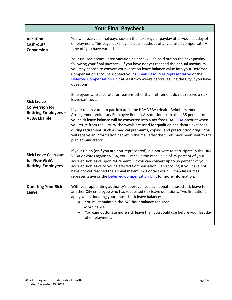| <b>Your Final Paycheck</b>                                                                 |                                                                                                                                                                                                                                                                                                                                                                                                                                                                                                                                    |  |
|--------------------------------------------------------------------------------------------|------------------------------------------------------------------------------------------------------------------------------------------------------------------------------------------------------------------------------------------------------------------------------------------------------------------------------------------------------------------------------------------------------------------------------------------------------------------------------------------------------------------------------------|--|
| <b>Vacation</b><br>Cash-out/<br>Conversion                                                 | You will receive a final paycheck on the next regular payday after your last day of<br>employment. This paycheck may include a cashout of any unused compensatory<br>time off you have earned.                                                                                                                                                                                                                                                                                                                                     |  |
|                                                                                            | Your unused accumulated vacation balance will be paid out on the next payday<br>following your final paycheck. If you have not yet reached the annual maximum,<br>you may choose to convert your vacation leave balance value into your Deferred<br>Compensation account. Contact your Human Resources representative or the<br>Deferred Compensation Unit at least two weeks before leaving the City if you have<br>questions.                                                                                                    |  |
| <b>Sick Leave</b><br><b>Conversion for</b><br>Retiring Employees -<br><b>VEBA Eligible</b> | Employees who separate for reasons other than retirement do not receive a sick<br>leave cash-out.                                                                                                                                                                                                                                                                                                                                                                                                                                  |  |
|                                                                                            | If your union voted to participate in the HRA VEBA (Health Reimbursement<br>Arrangement Voluntary Employee Benefit Association) plan, then 35 percent of<br>your sick leave balance will be converted into a tax-free HRA VEBA account when<br>you retire from the City. Withdrawals are used for qualified healthcare expenses<br>during retirement, such as medical premiums, copays, and prescription drugs. You<br>will receive an information packet in the mail after the funds have been sent to the<br>plan administrator. |  |
| <b>Sick Leave Cash-out</b><br>for Non-VEBA<br><b>Retiring Employees</b>                    | If your union (or if you are non-represented), did not vote to participate in the HRA<br>VEBA or votes against VEBA, you'll receive the cash value of 25 percent of your<br>accrued sick leave upon retirement. Or you can convert up to 35 percent of your<br>accrued sick leave to your Deferred Compensation Plan account, if you have not<br>have not yet reached the annual maximum. Contact your Human Resources<br>representative or the Deferred Compensation Unit for more information.                                   |  |
| <b>Donating Your Sick</b><br>reave                                                         | With your appointing authority's approval, you can donate unused sick leave to<br>another City employee who has requested sick leave donations. Two limitations<br>apply when donating your unused sick leave balance:<br>You must maintain the 240-hour balance required<br>by ordinance<br>You cannot donate more sick leave than you could use before your last day<br>of employment.                                                                                                                                           |  |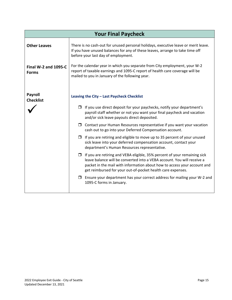| <b>Your Final Paycheck</b>                  |                                                                                                                                                                                                                                                                                                        |  |
|---------------------------------------------|--------------------------------------------------------------------------------------------------------------------------------------------------------------------------------------------------------------------------------------------------------------------------------------------------------|--|
| <b>Other Leaves</b>                         | There is no cash-out for unused personal holidays, executive leave or merit leave.<br>If you have unused balances for any of these leaves, arrange to take time off<br>before your last day of employment.                                                                                             |  |
| <b>Final W-2 and 1095-C</b><br><b>Forms</b> | For the calendar year in which you separate from City employment, your W-2<br>report of taxable earnings and 1095-C report of health care coverage will be<br>mailed to you in January of the following year.                                                                                          |  |
| <b>Payroll</b><br><b>Checklist</b>          | Leaving the City - Last Paycheck Checklist                                                                                                                                                                                                                                                             |  |
|                                             | $\Box$ If you use direct deposit for your paychecks, notify your department's<br>payroll staff whether or not you want your final paycheck and vacation<br>and/or sick leave payouts direct deposited.                                                                                                 |  |
|                                             | $\Box$ Contact your Human Resources representative if you want your vacation<br>cash out to go into your Deferred Compensation account.                                                                                                                                                                |  |
|                                             | $\Box$ If you are retiring and eligible to move up to 35 percent of your unused<br>sick leave into your deferred compensation account, contact your<br>department's Human Resources representative.                                                                                                    |  |
|                                             | $\Box$ If you are retiring and VEBA eligible, 35% percent of your remaining sick<br>leave balance will be converted into a VEBA account. You will receive a<br>packet in the mail with information about how to access your account and<br>get reimbursed for your out-of-pocket health care expenses. |  |
|                                             | $\Box$ Ensure your department has your correct address for mailing your W-2 and<br>1095-C forms in January.                                                                                                                                                                                            |  |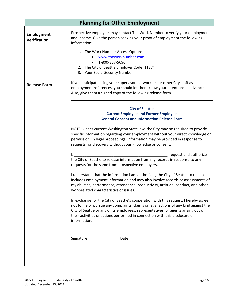| <b>Planning for Other Employment</b>     |                                                                                                                                                                                                                                                                                                                                                                   |  |
|------------------------------------------|-------------------------------------------------------------------------------------------------------------------------------------------------------------------------------------------------------------------------------------------------------------------------------------------------------------------------------------------------------------------|--|
| <b>Employment</b><br><b>Verification</b> | Prospective employers may contact The Work Number to verify your employment<br>and income. Give the person seeking your proof of employment the following<br>information:                                                                                                                                                                                         |  |
|                                          | 1. The Work Number Access Options:<br>www.theworknumber.com<br>1-800-367-5690<br>2. The City of Seattle Employer Code: 11874<br>3. Your Social Security Number                                                                                                                                                                                                    |  |
| <b>Release Form</b>                      | If you anticipate using your supervisor, co-workers, or other City staff as<br>employment references, you should let them know your intentions in advance.<br>Also, give them a signed copy of the following release form.                                                                                                                                        |  |
|                                          | <b>City of Seattle</b><br><b>Current Employee and Former Employee</b><br><b>General Consent and Information Release Form</b>                                                                                                                                                                                                                                      |  |
|                                          | NOTE: Under current Washington State law, the City may be required to provide<br>specific information regarding your employment without your direct knowledge or<br>permission. In legal proceedings, information may be provided in response to<br>requests for discovery without your knowledge or consent.                                                     |  |
|                                          | request and authorize<br>the City of Seattle to release information from my records in response to any<br>requests for the same from prospective employers.                                                                                                                                                                                                       |  |
|                                          | I understand that the information I am authorizing the City of Seattle to release<br>includes employment information and may also involve records or assessments of<br>my abilities, performance, attendance, productivity, attitude, conduct, and other<br>work-related characteristics or issues.                                                               |  |
|                                          | In exchange for the City of Seattle's cooperation with this request, I hereby agree<br>not to file or pursue any complaints, claims or legal actions of any kind against the<br>City of Seattle or any of its employees, representatives, or agents arising out of<br>their activities or actions performed in connection with this disclosure of<br>information. |  |
|                                          | Signature<br>Date                                                                                                                                                                                                                                                                                                                                                 |  |
|                                          |                                                                                                                                                                                                                                                                                                                                                                   |  |